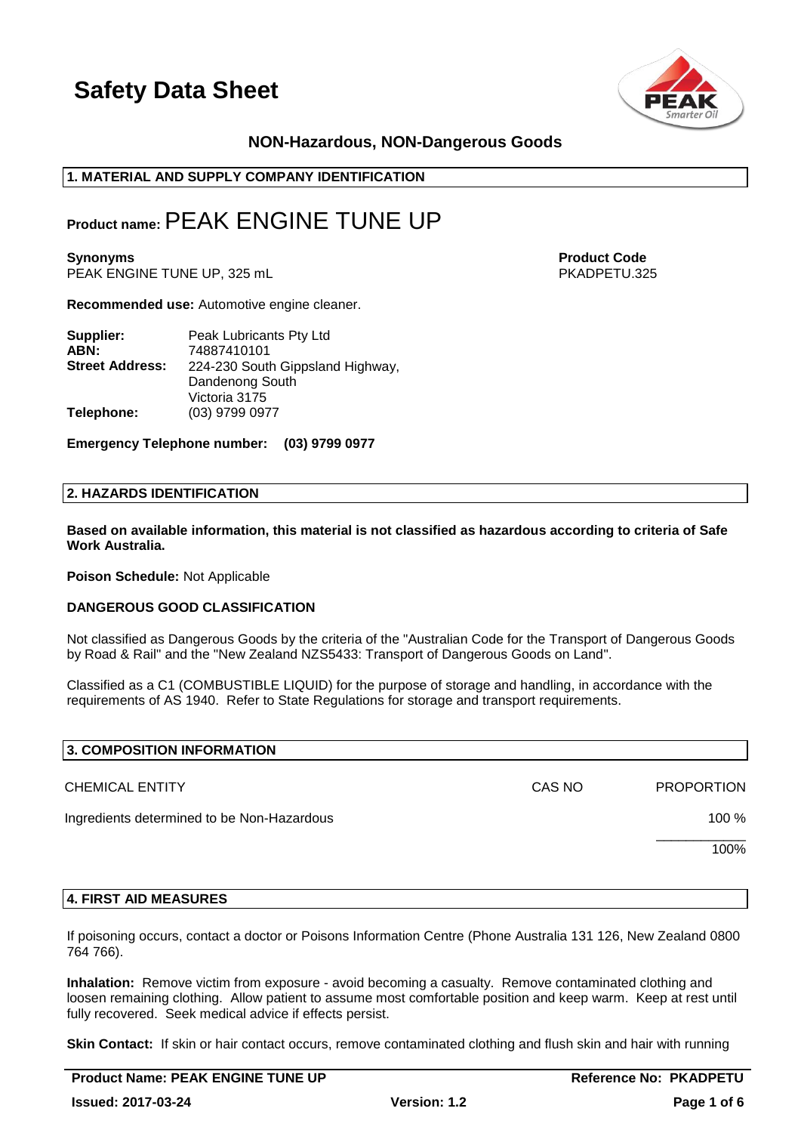

## **NON-Hazardous, NON-Dangerous Goods**

## **1. MATERIAL AND SUPPLY COMPANY IDENTIFICATION**

## **Product name:**PEAK ENGINE TUNE UP

**Synonyms Product Code** PEAK ENGINE TUNE UP, 325 mL

**Recommended use:** Automotive engine cleaner.

| Supplier:              | Peak Lubricants Pty Ltd          |
|------------------------|----------------------------------|
| ABN:                   | 74887410101                      |
| <b>Street Address:</b> | 224-230 South Gippsland Highway, |
|                        | Dandenong South                  |
|                        | Victoria 3175                    |
| Telephone:             | (03) 9799 0977                   |

**Emergency Telephone number: (03) 9799 0977**

#### **2. HAZARDS IDENTIFICATION**

**Based on available information, this material is not classified as hazardous according to criteria of Safe Work Australia.**

**Poison Schedule:** Not Applicable

#### **DANGEROUS GOOD CLASSIFICATION**

Not classified as Dangerous Goods by the criteria of the "Australian Code for the Transport of Dangerous Goods by Road & Rail" and the "New Zealand NZS5433: Transport of Dangerous Goods on Land".

Classified as a C1 (COMBUSTIBLE LIQUID) for the purpose of storage and handling, in accordance with the requirements of AS 1940. Refer to State Regulations for storage and transport requirements.

| 3. COMPOSITION INFORMATION                 |        |                   |
|--------------------------------------------|--------|-------------------|
| <b>CHEMICAL ENTITY</b>                     | CAS NO | <b>PROPORTION</b> |
| Ingredients determined to be Non-Hazardous |        | 100 %             |
|                                            |        | 100%              |
|                                            |        |                   |

#### **4. FIRST AID MEASURES**

If poisoning occurs, contact a doctor or Poisons Information Centre (Phone Australia 131 126, New Zealand 0800 764 766).

**Inhalation:** Remove victim from exposure - avoid becoming a casualty. Remove contaminated clothing and loosen remaining clothing. Allow patient to assume most comfortable position and keep warm. Keep at rest until fully recovered. Seek medical advice if effects persist.

**Skin Contact:** If skin or hair contact occurs, remove contaminated clothing and flush skin and hair with running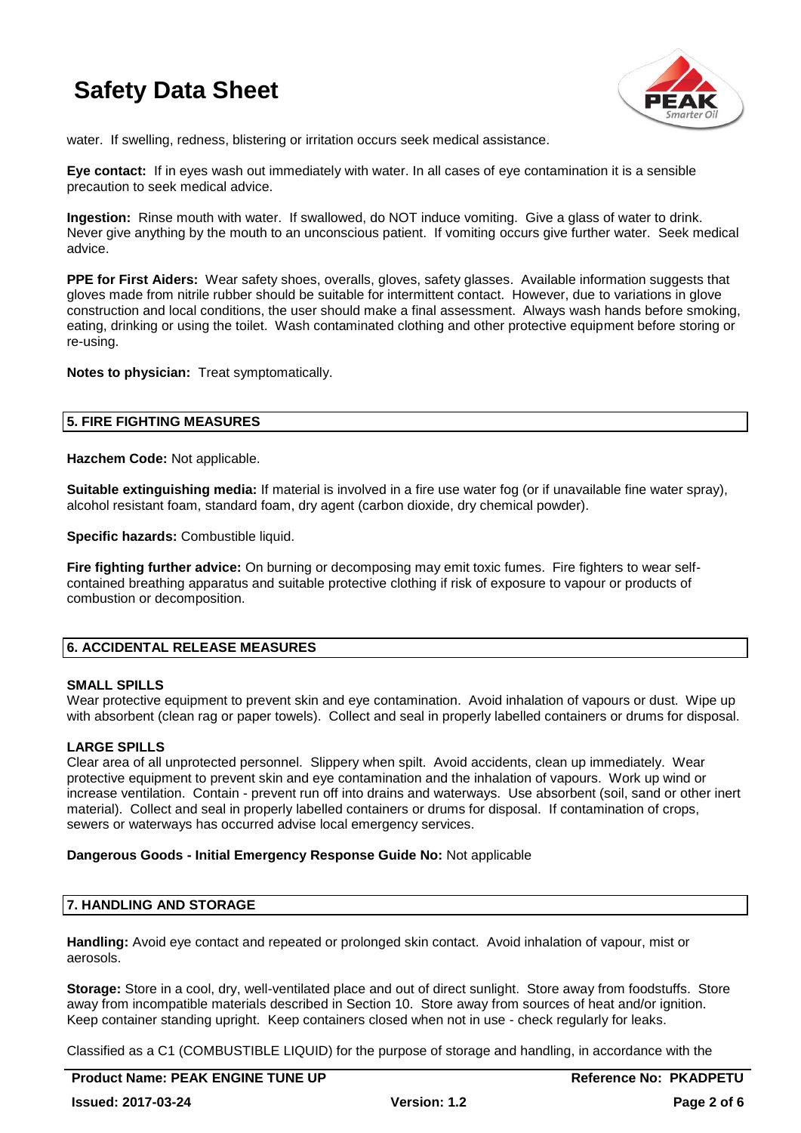

water. If swelling, redness, blistering or irritation occurs seek medical assistance.

**Eye contact:** If in eyes wash out immediately with water. In all cases of eye contamination it is a sensible precaution to seek medical advice.

**Ingestion:** Rinse mouth with water. If swallowed, do NOT induce vomiting. Give a glass of water to drink. Never give anything by the mouth to an unconscious patient. If vomiting occurs give further water. Seek medical advice.

**PPE for First Aiders:** Wear safety shoes, overalls, gloves, safety glasses. Available information suggests that gloves made from nitrile rubber should be suitable for intermittent contact. However, due to variations in glove construction and local conditions, the user should make a final assessment. Always wash hands before smoking, eating, drinking or using the toilet. Wash contaminated clothing and other protective equipment before storing or re-using.

**Notes to physician:** Treat symptomatically.

## **5. FIRE FIGHTING MEASURES**

**Hazchem Code:** Not applicable.

**Suitable extinguishing media:** If material is involved in a fire use water fog (or if unavailable fine water spray), alcohol resistant foam, standard foam, dry agent (carbon dioxide, dry chemical powder).

**Specific hazards: Combustible liquid.** 

**Fire fighting further advice:** On burning or decomposing may emit toxic fumes. Fire fighters to wear selfcontained breathing apparatus and suitable protective clothing if risk of exposure to vapour or products of combustion or decomposition.

## **6. ACCIDENTAL RELEASE MEASURES**

#### **SMALL SPILLS**

Wear protective equipment to prevent skin and eye contamination. Avoid inhalation of vapours or dust. Wipe up with absorbent (clean rag or paper towels). Collect and seal in properly labelled containers or drums for disposal.

## **LARGE SPILLS**

Clear area of all unprotected personnel. Slippery when spilt. Avoid accidents, clean up immediately. Wear protective equipment to prevent skin and eye contamination and the inhalation of vapours. Work up wind or increase ventilation. Contain - prevent run off into drains and waterways. Use absorbent (soil, sand or other inert material). Collect and seal in properly labelled containers or drums for disposal. If contamination of crops, sewers or waterways has occurred advise local emergency services.

#### **Dangerous Goods - Initial Emergency Response Guide No:** Not applicable

## **7. HANDLING AND STORAGE**

**Handling:** Avoid eye contact and repeated or prolonged skin contact. Avoid inhalation of vapour, mist or aerosols.

**Storage:** Store in a cool, dry, well-ventilated place and out of direct sunlight. Store away from foodstuffs. Store away from incompatible materials described in Section 10. Store away from sources of heat and/or ignition. Keep container standing upright. Keep containers closed when not in use - check regularly for leaks.

Classified as a C1 (COMBUSTIBLE LIQUID) for the purpose of storage and handling, in accordance with the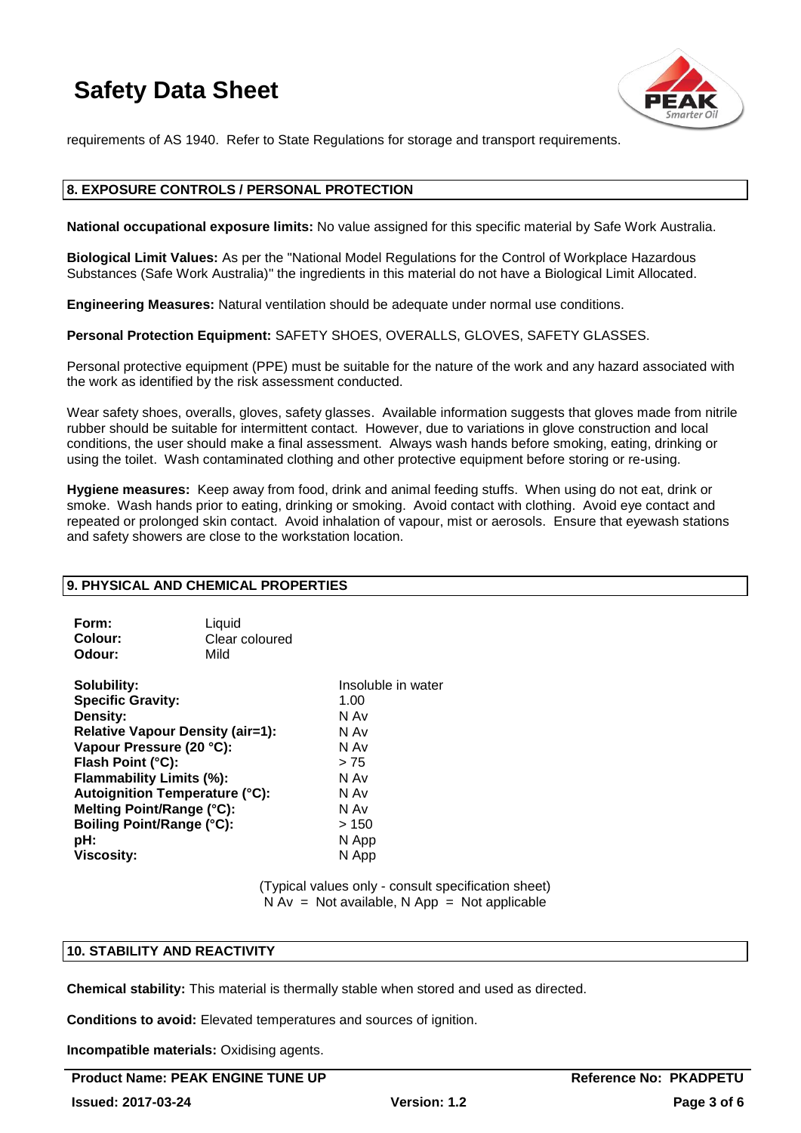

requirements of AS 1940. Refer to State Regulations for storage and transport requirements.

## **8. EXPOSURE CONTROLS / PERSONAL PROTECTION**

**National occupational exposure limits:** No value assigned for this specific material by Safe Work Australia.

**Biological Limit Values:** As per the "National Model Regulations for the Control of Workplace Hazardous Substances (Safe Work Australia)" the ingredients in this material do not have a Biological Limit Allocated.

**Engineering Measures:** Natural ventilation should be adequate under normal use conditions.

**Personal Protection Equipment:** SAFETY SHOES, OVERALLS, GLOVES, SAFETY GLASSES.

Personal protective equipment (PPE) must be suitable for the nature of the work and any hazard associated with the work as identified by the risk assessment conducted.

Wear safety shoes, overalls, gloves, safety glasses. Available information suggests that gloves made from nitrile rubber should be suitable for intermittent contact. However, due to variations in glove construction and local conditions, the user should make a final assessment. Always wash hands before smoking, eating, drinking or using the toilet. Wash contaminated clothing and other protective equipment before storing or re-using.

**Hygiene measures:** Keep away from food, drink and animal feeding stuffs. When using do not eat, drink or smoke. Wash hands prior to eating, drinking or smoking. Avoid contact with clothing. Avoid eye contact and repeated or prolonged skin contact. Avoid inhalation of vapour, mist or aerosols. Ensure that eyewash stations and safety showers are close to the workstation location.

## **9. PHYSICAL AND CHEMICAL PROPERTIES**

| Form:          | Liquid         |
|----------------|----------------|
| <b>Colour:</b> | Clear coloured |
| Odour:         | Mild           |

**Solubility:** Insoluble in water **Specific Gravity:** 1.00 **Density:** N Av **Relative Vapour Density (air=1):** N Av **Vapour Pressure (20 °C):** N Av **Flash Point (°C):**  $> 75$ **Flammability Limits (%):** N Av **Autoignition Temperature (°C):** N Av **Melting Point/Range (°C):** N Av <br> **Boiling Point/Range (°C):** > 150 **Boiling Point/Range (°C):**<br>pH: **Viscosity:** N App

**pH:** N App

(Typical values only - consult specification sheet)  $N Av = Not available, N App = Not applicable$ 

#### **10. STABILITY AND REACTIVITY**

**Chemical stability:** This material is thermally stable when stored and used as directed.

**Conditions to avoid:** Elevated temperatures and sources of ignition.

**Incompatible materials:** Oxidising agents.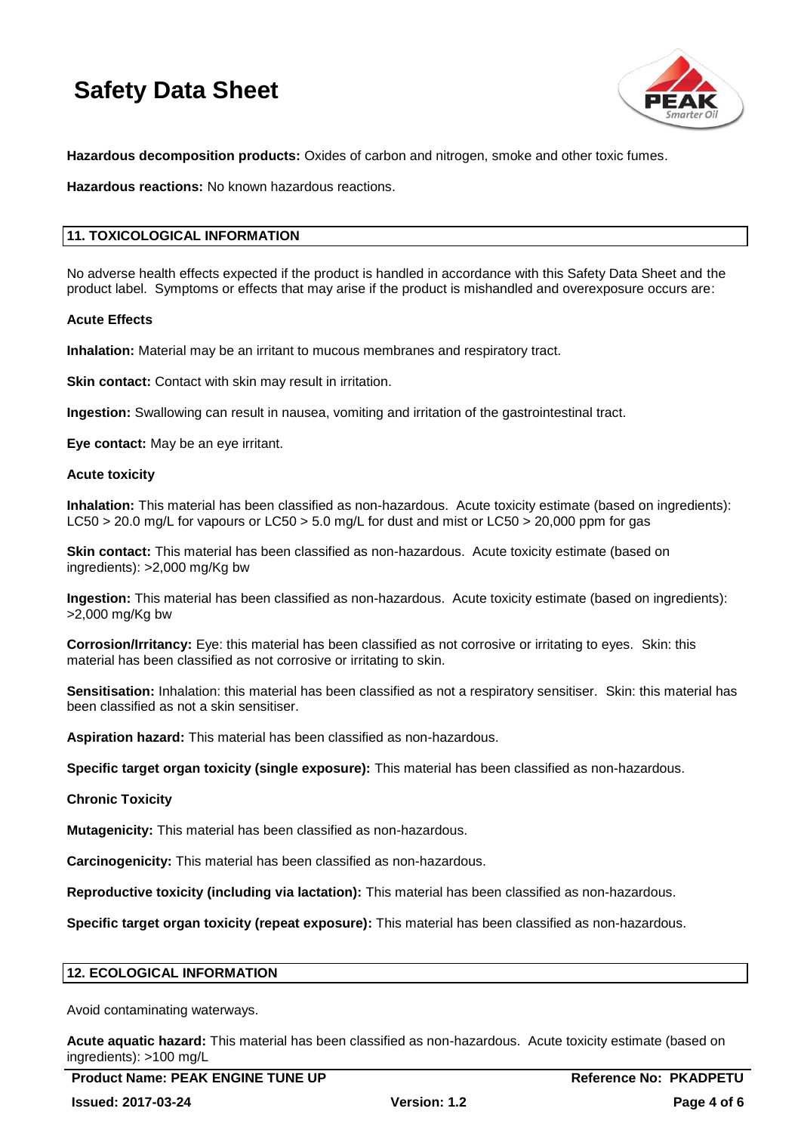

**Hazardous decomposition products:** Oxides of carbon and nitrogen, smoke and other toxic fumes.

**Hazardous reactions:** No known hazardous reactions.

## **11. TOXICOLOGICAL INFORMATION**

No adverse health effects expected if the product is handled in accordance with this Safety Data Sheet and the product label. Symptoms or effects that may arise if the product is mishandled and overexposure occurs are:

#### **Acute Effects**

**Inhalation:** Material may be an irritant to mucous membranes and respiratory tract.

**Skin contact:** Contact with skin may result in irritation.

**Ingestion:** Swallowing can result in nausea, vomiting and irritation of the gastrointestinal tract.

**Eye contact:** May be an eye irritant.

#### **Acute toxicity**

**Inhalation:** This material has been classified as non-hazardous. Acute toxicity estimate (based on ingredients): LC50 > 20.0 mg/L for vapours or LC50 > 5.0 mg/L for dust and mist or LC50 > 20,000 ppm for gas

**Skin contact:** This material has been classified as non-hazardous. Acute toxicity estimate (based on ingredients): >2,000 mg/Kg bw

**Ingestion:** This material has been classified as non-hazardous. Acute toxicity estimate (based on ingredients): >2,000 mg/Kg bw

**Corrosion/Irritancy:** Eye: this material has been classified as not corrosive or irritating to eyes. Skin: this material has been classified as not corrosive or irritating to skin.

**Sensitisation:** Inhalation: this material has been classified as not a respiratory sensitiser. Skin: this material has been classified as not a skin sensitiser.

**Aspiration hazard:** This material has been classified as non-hazardous.

**Specific target organ toxicity (single exposure):** This material has been classified as non-hazardous.

#### **Chronic Toxicity**

**Mutagenicity:** This material has been classified as non-hazardous.

**Carcinogenicity:** This material has been classified as non-hazardous.

**Reproductive toxicity (including via lactation):** This material has been classified as non-hazardous.

**Specific target organ toxicity (repeat exposure):** This material has been classified as non-hazardous.

## **12. ECOLOGICAL INFORMATION**

Avoid contaminating waterways.

**Acute aquatic hazard:** This material has been classified as non-hazardous. Acute toxicity estimate (based on ingredients): >100 mg/L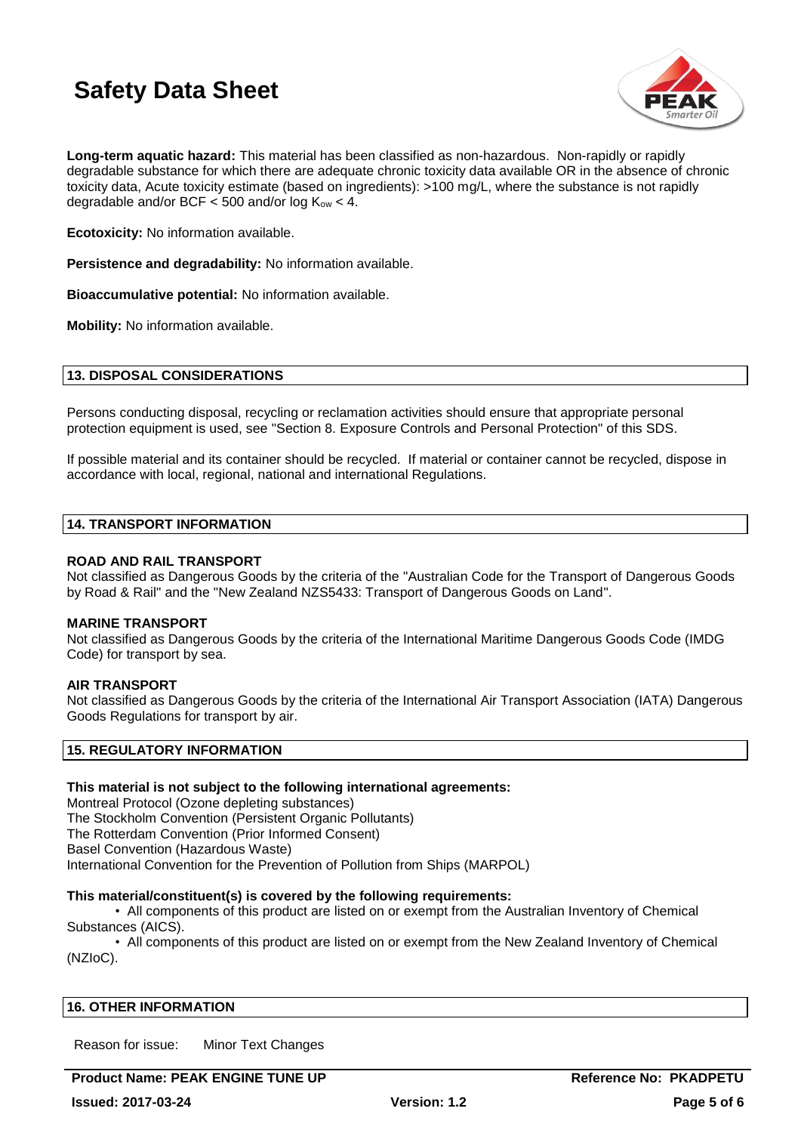

**Long-term aquatic hazard:** This material has been classified as non-hazardous. Non-rapidly or rapidly degradable substance for which there are adequate chronic toxicity data available OR in the absence of chronic toxicity data, Acute toxicity estimate (based on ingredients): >100 mg/L, where the substance is not rapidly degradable and/or BCF  $<$  500 and/or log K<sub>ow</sub>  $<$  4.

**Ecotoxicity:** No information available.

**Persistence and degradability:** No information available.

**Bioaccumulative potential:** No information available.

**Mobility:** No information available.

### **13. DISPOSAL CONSIDERATIONS**

Persons conducting disposal, recycling or reclamation activities should ensure that appropriate personal protection equipment is used, see "Section 8. Exposure Controls and Personal Protection" of this SDS.

If possible material and its container should be recycled. If material or container cannot be recycled, dispose in accordance with local, regional, national and international Regulations.

#### **14. TRANSPORT INFORMATION**

## **ROAD AND RAIL TRANSPORT**

Not classified as Dangerous Goods by the criteria of the "Australian Code for the Transport of Dangerous Goods by Road & Rail" and the "New Zealand NZS5433: Transport of Dangerous Goods on Land".

#### **MARINE TRANSPORT**

Not classified as Dangerous Goods by the criteria of the International Maritime Dangerous Goods Code (IMDG Code) for transport by sea.

## **AIR TRANSPORT**

Not classified as Dangerous Goods by the criteria of the International Air Transport Association (IATA) Dangerous Goods Regulations for transport by air.

## **15. REGULATORY INFORMATION**

#### **This material is not subject to the following international agreements:**

Montreal Protocol (Ozone depleting substances) The Stockholm Convention (Persistent Organic Pollutants) The Rotterdam Convention (Prior Informed Consent) Basel Convention (Hazardous Waste) International Convention for the Prevention of Pollution from Ships (MARPOL)

#### **This material/constituent(s) is covered by the following requirements:**

• All components of this product are listed on or exempt from the Australian Inventory of Chemical Substances (AICS).

• All components of this product are listed on or exempt from the New Zealand Inventory of Chemical (NZIoC).

#### **16. OTHER INFORMATION**

Reason for issue: Minor Text Changes

**Product Name: PEAK ENGINE TUNE UP A CONSERVER AND REFERENCE ROOM REFERENCE TO A CONSERVATION CONSERVER AND REF**